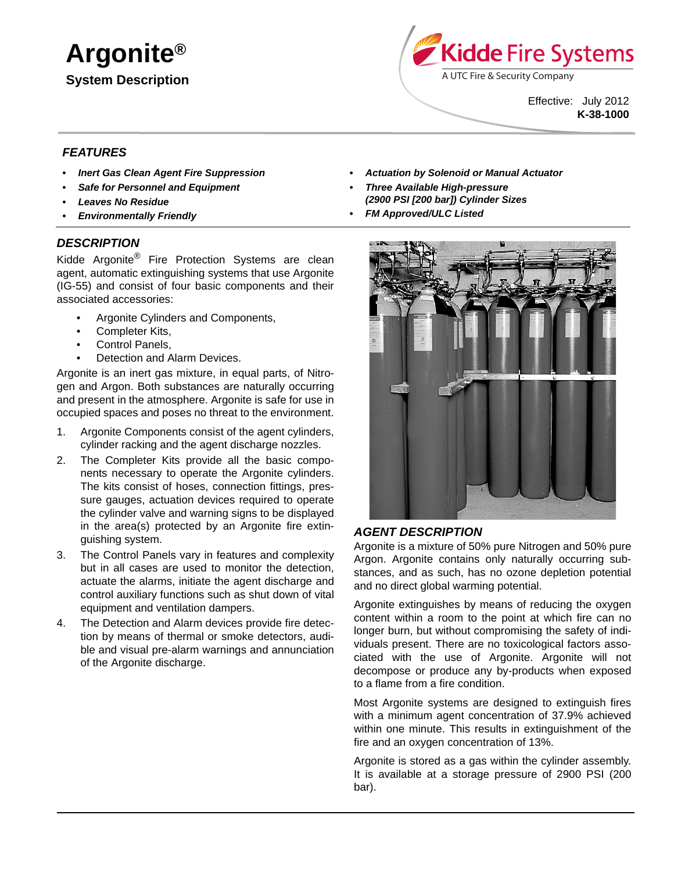**Argonite® System Description**



Effective: July 2012 **K-38-1000**

## *FEATURES*

- *Inert Gas Clean Agent Fire Suppression*
- *Safe for Personnel and Equipment*
- *Leaves No Residue*
- *Environmentally Friendly*

#### *DESCRIPTION*

Kidde Argonite<sup>®</sup> Fire Protection Systems are clean agent, automatic extinguishing systems that use Argonite (IG-55) and consist of four basic components and their associated accessories:

- Argonite Cylinders and Components,
- Completer Kits,
- Control Panels,
- Detection and Alarm Devices.

Argonite is an inert gas mixture, in equal parts, of Nitrogen and Argon. Both substances are naturally occurring and present in the atmosphere. Argonite is safe for use in occupied spaces and poses no threat to the environment.

- 1. Argonite Components consist of the agent cylinders, cylinder racking and the agent discharge nozzles.
- 2. The Completer Kits provide all the basic components necessary to operate the Argonite cylinders. The kits consist of hoses, connection fittings, pressure gauges, actuation devices required to operate the cylinder valve and warning signs to be displayed in the area(s) protected by an Argonite fire extinguishing system.
- 3. The Control Panels vary in features and complexity but in all cases are used to monitor the detection, actuate the alarms, initiate the agent discharge and control auxiliary functions such as shut down of vital equipment and ventilation dampers.
- 4. The Detection and Alarm devices provide fire detection by means of thermal or smoke detectors, audible and visual pre-alarm warnings and annunciation of the Argonite discharge.
- *Actuation by Solenoid or Manual Actuator*
- *Three Available High-pressure (2900 PSI [200 bar]) Cylinder Sizes*
- *FM Approved/ULC Listed*



#### *AGENT DESCRIPTION*

Argonite is a mixture of 50% pure Nitrogen and 50% pure Argon. Argonite contains only naturally occurring substances, and as such, has no ozone depletion potential and no direct global warming potential.

Argonite extinguishes by means of reducing the oxygen content within a room to the point at which fire can no longer burn, but without compromising the safety of individuals present. There are no toxicological factors associated with the use of Argonite. Argonite will not decompose or produce any by-products when exposed to a flame from a fire condition.

Most Argonite systems are designed to extinguish fires with a minimum agent concentration of 37.9% achieved within one minute. This results in extinguishment of the fire and an oxygen concentration of 13%.

Argonite is stored as a gas within the cylinder assembly. It is available at a storage pressure of 2900 PSI (200 bar).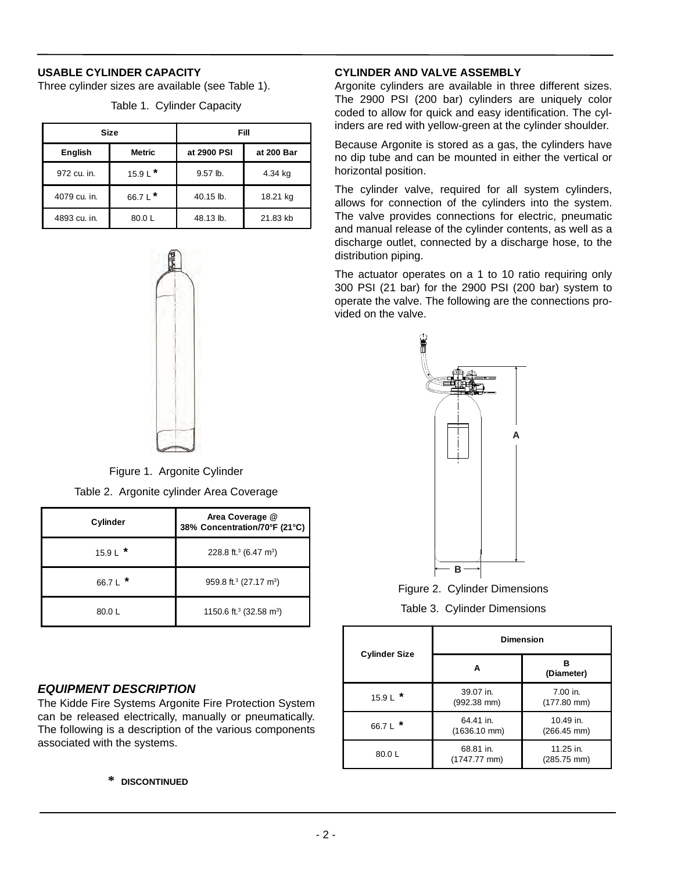## **USABLE CYLINDER CAPACITY**

Three cylinder sizes are available (see Table 1).

| Size         |               | Fill        |            |
|--------------|---------------|-------------|------------|
| English      | <b>Metric</b> | at 2900 PSI | at 200 Bar |
| 972 cu. in.  | 15.9 L $*$    | 9.57 lb.    | 4.34 kg    |
| 4079 cu. in. | 66.7 L $*$    | 40.15 lb.   | 18.21 kg   |
| 4893 cu. in. | 80.0L         | 48.13 lb.   | 21.83 kb   |

Table 1. Cylinder Capacity

Figure 1. Argonite Cylinder

Table 2. Argonite cylinder Area Coverage

| Cylinder   | Area Coverage @<br>38% Concentration/70°F (21°C) |  |
|------------|--------------------------------------------------|--|
| 15.9 L $*$ | 228.8 ft. <sup>3</sup> (6.47 m <sup>3</sup> )    |  |
| 66.7 L $*$ | 959.8 ft. <sup>3</sup> (27.17 m <sup>3</sup> )   |  |
| 80.0L      | 1150.6 ft. <sup>3</sup> (32.58 m <sup>3</sup> )  |  |

## *EQUIPMENT DESCRIPTION*

The Kidde Fire Systems Argonite Fire Protection System can be released electrically, manually or pneumatically. The following is a description of the various components associated with the systems.

#### **\* DISCONTINUED**

## **CYLINDER AND VALVE ASSEMBLY**

Argonite cylinders are available in three different sizes. The 2900 PSI (200 bar) cylinders are uniquely color coded to allow for quick and easy identification. The cylinders are red with yellow-green at the cylinder shoulder.

Because Argonite is stored as a gas, the cylinders have no dip tube and can be mounted in either the vertical or horizontal position.

The cylinder valve, required for all system cylinders, allows for connection of the cylinders into the system. The valve provides connections for electric, pneumatic and manual release of the cylinder contents, as well as a discharge outlet, connected by a discharge hose, to the distribution piping.

The actuator operates on a 1 to 10 ratio requiring only 300 PSI (21 bar) for the 2900 PSI (200 bar) system to operate the valve. The following are the connections provided on the valve.



Figure 2. Cylinder Dimensions Table 3. Cylinder Dimensions

|                      | <b>Dimension</b>                    |                            |  |
|----------------------|-------------------------------------|----------------------------|--|
| <b>Cylinder Size</b> | А                                   | R<br>(Diameter)            |  |
| $15.9 L$ *           | 39.07 in.<br>$(992.38$ mm)          | 7.00 in.<br>$(177.80$ mm)  |  |
| 66.7 L $*$           | 64.41 in.<br>$(1636.10$ mm)         | 10.49 in.<br>$(266.45$ mm) |  |
| 80.0L                | 68.81 in.<br>$(1747.77 \text{ mm})$ | 11.25 in.<br>(285.75 mm)   |  |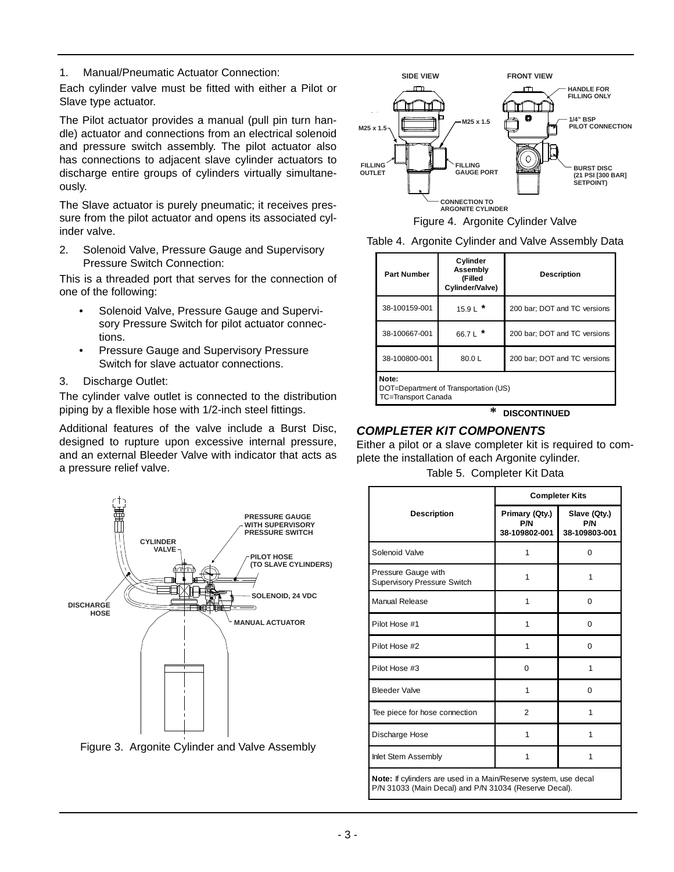1. Manual/Pneumatic Actuator Connection:

Each cylinder valve must be fitted with either a Pilot or Slave type actuator.

The Pilot actuator provides a manual (pull pin turn handle) actuator and connections from an electrical solenoid and pressure switch assembly. The pilot actuator also has connections to adjacent slave cylinder actuators to discharge entire groups of cylinders virtually simultaneously.

The Slave actuator is purely pneumatic; it receives pressure from the pilot actuator and opens its associated cylinder valve.

2. Solenoid Valve, Pressure Gauge and Supervisory Pressure Switch Connection:

This is a threaded port that serves for the connection of one of the following:

- Solenoid Valve, Pressure Gauge and Supervisory Pressure Switch for pilot actuator connections.
- Pressure Gauge and Supervisory Pressure Switch for slave actuator connections.
- 3. Discharge Outlet:

The cylinder valve outlet is connected to the distribution piping by a flexible hose with 1/2-inch steel fittings.

Additional features of the valve include a Burst Disc, designed to rupture upon excessive internal pressure, and an external Bleeder Valve with indicator that acts as a pressure relief valve.



Figure 3. Argonite Cylinder and Valve Assembly



Figure 4. Argonite Cylinder Valve



| <b>Part Number</b>                                                           | Cylinder<br>Assembly<br>(Filled<br>Cylinder/Valve) | <b>Description</b>           |
|------------------------------------------------------------------------------|----------------------------------------------------|------------------------------|
| 38-100159-001                                                                | 15.9 L $*$                                         | 200 bar; DOT and TC versions |
| 38-100667-001                                                                | 66.7 L $*$                                         | 200 bar; DOT and TC versions |
| 38-100800-001                                                                | 80.0L                                              | 200 bar; DOT and TC versions |
| Note:<br>DOT=Department of Transportation (US)<br><b>TC=Transport Canada</b> |                                                    |                              |

**\* DISCONTINUED**

# *COMPLETER KIT COMPONENTS*

Either a pilot or a slave completer kit is required to complete the installation of each Argonite cylinder.

Table 5. Completer Kit Data

|                                                                                                                                 | <b>Completer Kits</b>                  |                                      |  |
|---------------------------------------------------------------------------------------------------------------------------------|----------------------------------------|--------------------------------------|--|
| <b>Description</b>                                                                                                              | Primary (Qty.)<br>P/N<br>38-109802-001 | Slave (Qty.)<br>P/N<br>38-109803-001 |  |
| Solenoid Valve                                                                                                                  | 1                                      | $\Omega$                             |  |
| Pressure Gauge with<br><b>Supervisory Pressure Switch</b>                                                                       | 1                                      | 1                                    |  |
| Manual Release                                                                                                                  | 1                                      | $\Omega$                             |  |
| Pilot Hose #1                                                                                                                   | 1                                      | 0                                    |  |
| Pilot Hose #2                                                                                                                   | 1                                      | $\Omega$                             |  |
| Pilot Hose #3                                                                                                                   | $\Omega$                               | 1                                    |  |
| <b>Bleeder Valve</b>                                                                                                            | 1                                      | $\Omega$                             |  |
| Tee piece for hose connection                                                                                                   | $\overline{2}$                         | 1                                    |  |
| Discharge Hose                                                                                                                  | 1                                      | 1                                    |  |
| Inlet Stem Assembly                                                                                                             | 1                                      | 1                                    |  |
| <b>Note:</b> If cylinders are used in a Main/Reserve system, use decal<br>P/N 31033 (Main Decal) and P/N 31034 (Reserve Decal). |                                        |                                      |  |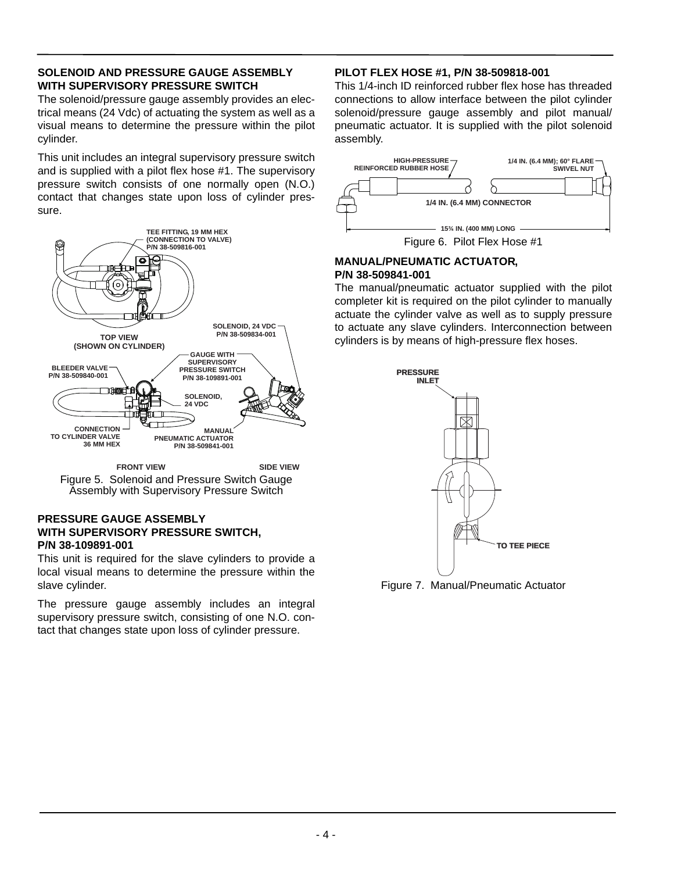#### **SOLENOID AND PRESSURE GAUGE ASSEMBLY WITH SUPERVISORY PRESSURE SWITCH**

The solenoid/pressure gauge assembly provides an electrical means (24 Vdc) of actuating the system as well as a visual means to determine the pressure within the pilot cylinder.

This unit includes an integral supervisory pressure switch and is supplied with a pilot flex hose #1. The supervisory pressure switch consists of one normally open (N.O.) contact that changes state upon loss of cylinder pressure.



Figure 5. Solenoid and Pressure Switch Gauge Assembly with Supervisory Pressure Switch **FRONT VIEW SIDE VIEW**

#### **PRESSURE GAUGE ASSEMBLY WITH SUPERVISORY PRESSURE SWITCH, P/N 38-109891-001**

This unit is required for the slave cylinders to provide a local visual means to determine the pressure within the slave cylinder.

The pressure gauge assembly includes an integral supervisory pressure switch, consisting of one N.O. contact that changes state upon loss of cylinder pressure.

## **PILOT FLEX HOSE #1, P/N 38-509818-001**

This 1/4-inch ID reinforced rubber flex hose has threaded connections to allow interface between the pilot cylinder solenoid/pressure gauge assembly and pilot manual/ pneumatic actuator. It is supplied with the pilot solenoid assembly.



Figure 6. Pilot Flex Hose #1

## **MANUAL/PNEUMATIC ACTUATOR, P/N 38-509841-001**

The manual/pneumatic actuator supplied with the pilot completer kit is required on the pilot cylinder to manually actuate the cylinder valve as well as to supply pressure to actuate any slave cylinders. Interconnection between cylinders is by means of high-pressure flex hoses.



Figure 7. Manual/Pneumatic Actuator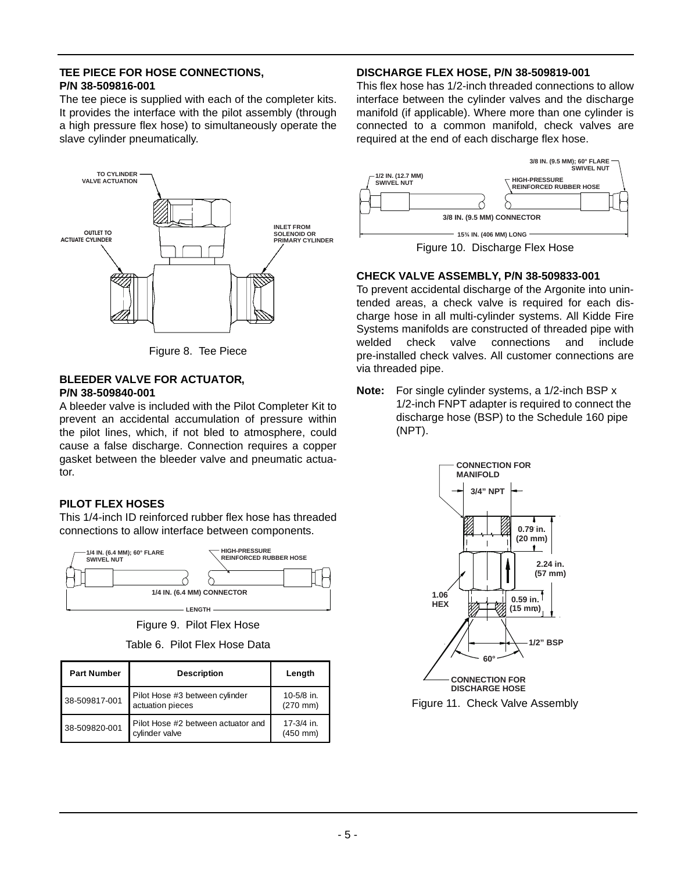#### **TEE PIECE FOR HOSE CONNECTIONS, P/N 38-509816-001**

The tee piece is supplied with each of the completer kits. It provides the interface with the pilot assembly (through a high pressure flex hose) to simultaneously operate the slave cylinder pneumatically.



Figure 8. Tee Piece

#### **BLEEDER VALVE FOR ACTUATOR, P/N 38-509840-001**

A bleeder valve is included with the Pilot Completer Kit to prevent an accidental accumulation of pressure within the pilot lines, which, if not bled to atmosphere, could cause a false discharge. Connection requires a copper gasket between the bleeder valve and pneumatic actuator.

## **PILOT FLEX HOSES**

This 1/4-inch ID reinforced rubber flex hose has threaded connections to allow interface between components.



Figure 9. Pilot Flex Hose

Table 6. Pilot Flex Hose Data

| <b>Part Number</b> | <b>Description</b>                                   | Length                      |
|--------------------|------------------------------------------------------|-----------------------------|
| 38-509817-001      | Pilot Hose #3 between cylinder<br>actuation pieces   | 10-5/8 in.<br>$(270$ mm)    |
| 38-509820-001      | Pilot Hose #2 between actuator and<br>cylinder valve | 17-3/4 in.<br>$(450$ mm $)$ |

## **DISCHARGE FLEX HOSE, P/N 38-509819-001**

This flex hose has 1/2-inch threaded connections to allow interface between the cylinder valves and the discharge manifold (if applicable). Where more than one cylinder is connected to a common manifold, check valves are required at the end of each discharge flex hose.



Figure 10. Discharge Flex Hose

## **CHECK VALVE ASSEMBLY, P/N 38-509833-001**

To prevent accidental discharge of the Argonite into unintended areas, a check valve is required for each discharge hose in all multi-cylinder systems. All Kidde Fire Systems manifolds are constructed of threaded pipe with welded check valve connections and include pre-installed check valves. All customer connections are via threaded pipe.

**Note:** For single cylinder systems, a 1/2-inch BSP x 1/2-inch FNPT adapter is required to connect the discharge hose (BSP) to the Schedule 160 pipe (NPT).



Figure 11. Check Valve Assembly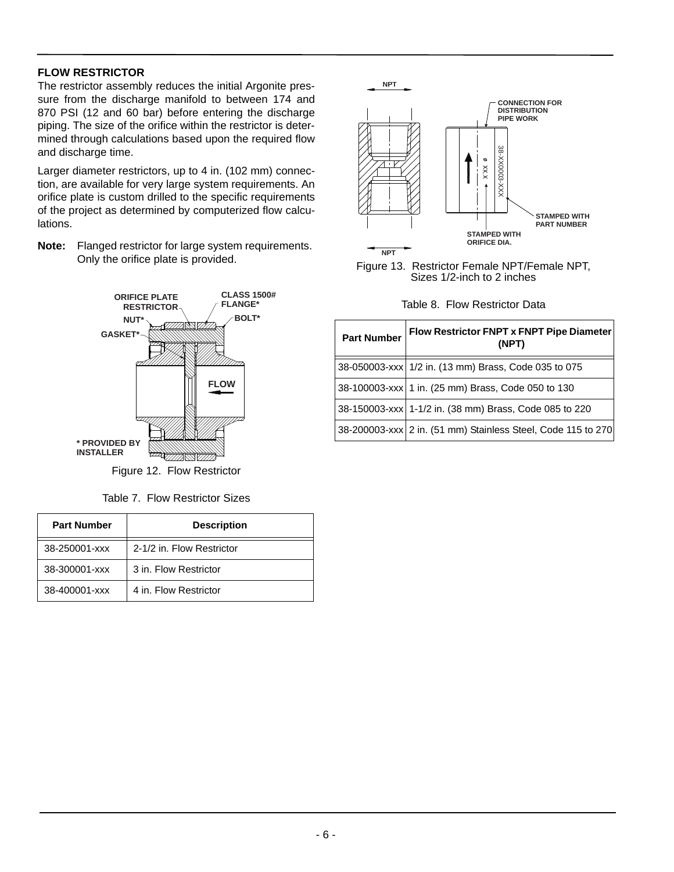## **FLOW RESTRICTOR**

The restrictor assembly reduces the initial Argonite pressure from the discharge manifold to between 174 and 870 PSI (12 and 60 bar) before entering the discharge piping. The size of the orifice within the restrictor is determined through calculations based upon the required flow and discharge time.

Larger diameter restrictors, up to 4 in. (102 mm) connection, are available for very large system requirements. An orifice plate is custom drilled to the specific requirements of the project as determined by computerized flow calculations.

**Note:** Flanged restrictor for large system requirements. Only the orifice plate is provided.



Figure 12. Flow Restrictor

Table 7. Flow Restrictor Sizes

| <b>Part Number</b> | <b>Description</b>        |  |  |
|--------------------|---------------------------|--|--|
| 38-250001-xxx      | 2-1/2 in. Flow Restrictor |  |  |
| 38-300001-xxx      | 3 in. Flow Restrictor     |  |  |
| 38-400001-xxx      | 4 in. Flow Restrictor     |  |  |



Figure 13. Restrictor Female NPT/Female NPT, Sizes 1/2-inch to 2 inches

Table 8. Flow Restrictor Data

| <b>Part Number</b> | Flow Restrictor FNPT x FNPT Pipe Diameter<br>(NPT)           |  |
|--------------------|--------------------------------------------------------------|--|
|                    | 38-050003-xxx   1/2 in. (13 mm) Brass, Code 035 to 075       |  |
|                    | 38-100003-xxx 1 in. (25 mm) Brass, Code 050 to 130           |  |
|                    | 38-150003-xxx 1-1/2 in. (38 mm) Brass, Code 085 to 220       |  |
|                    | 38-200003-xxx 2 in. (51 mm) Stainless Steel, Code 115 to 270 |  |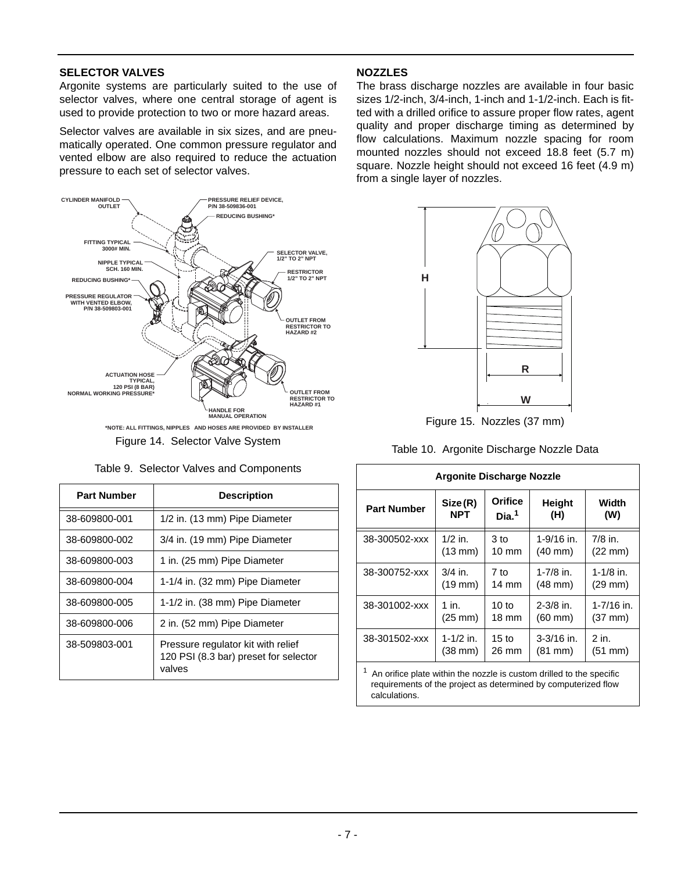#### **SELECTOR VALVES**

Argonite systems are particularly suited to the use of selector valves, where one central storage of agent is used to provide protection to two or more hazard areas.

Selector valves are available in six sizes, and are pneumatically operated. One common pressure regulator and vented elbow are also required to reduce the actuation pressure to each set of selector valves.



Figure 14. Selector Valve System

| <b>Part Number</b> | <b>Description</b>                                                                    |  |
|--------------------|---------------------------------------------------------------------------------------|--|
| 38-609800-001      | 1/2 in. (13 mm) Pipe Diameter                                                         |  |
| 38-609800-002      | 3/4 in. (19 mm) Pipe Diameter                                                         |  |
| 38-609800-003      | 1 in. (25 mm) Pipe Diameter                                                           |  |
| 38-609800-004      | 1-1/4 in. (32 mm) Pipe Diameter                                                       |  |
| 38-609800-005      | 1-1/2 in. (38 mm) Pipe Diameter                                                       |  |
| 38-609800-006      | 2 in. (52 mm) Pipe Diameter                                                           |  |
| 38-509803-001      | Pressure regulator kit with relief<br>120 PSI (8.3 bar) preset for selector<br>valves |  |

#### Table 9. Selector Valves and Components

#### **NOZZLES**

The brass discharge nozzles are available in four basic sizes 1/2-inch, 3/4-inch, 1-inch and 1-1/2-inch. Each is fitted with a drilled orifice to assure proper flow rates, agent quality and proper discharge timing as determined by flow calculations. Maximum nozzle spacing for room mounted nozzles should not exceed 18.8 feet (5.7 m) square. Nozzle height should not exceed 16 feet (4.9 m) from a single layer of nozzles.



Figure 15. Nozzles (37 mm)

Table 10. Argonite Discharge Nozzle Data

| <b>Argonite Discharge Nozzle</b>                                                                                                       |                   |                   |                   |                   |
|----------------------------------------------------------------------------------------------------------------------------------------|-------------------|-------------------|-------------------|-------------------|
| <b>Part Number</b>                                                                                                                     | Size(R)           | Orifice           | Height            | Width             |
|                                                                                                                                        | <b>NPT</b>        | Dia. <sup>1</sup> | (H)               | (W)               |
| 38-300502-xxx                                                                                                                          | $1/2$ in.         | 3 to              | $1 - 9/16$ in.    | $7/8$ in.         |
|                                                                                                                                        | $(13 \text{ mm})$ | $10 \text{ mm}$   | $(40 \text{ mm})$ | $(22 \text{ mm})$ |
| 38-300752-xxx                                                                                                                          | $3/4$ in.         | 7 to              | $1 - 7/8$ in.     | $1 - 1/8$ in.     |
|                                                                                                                                        | $(19$ mm $)$      | $14 \text{ mm}$   | $(48 \text{ mm})$ | $(29$ mm $)$      |
| 38-301002-xxx                                                                                                                          | $1$ in.           | $10$ to           | $2 - 3/8$ in.     | 1-7/16 in.        |
|                                                                                                                                        | $(25 \text{ mm})$ | $18 \text{ mm}$   | $(60 \text{ mm})$ | $(37 \text{ mm})$ |
| 38-301502-xxx                                                                                                                          | 1-1/2 in.         | 15 <sub>to</sub>  | $3-3/16$ in.      | 2 in.             |
|                                                                                                                                        | $(38$ mm $)$      | 26 mm             | $(81$ mm $)$      | $(51$ mm $)$      |
| An orifice plate within the nozzle is custom drilled to the specific<br>requirements of the project as determined by computerized flow |                   |                   |                   |                   |

calculations.